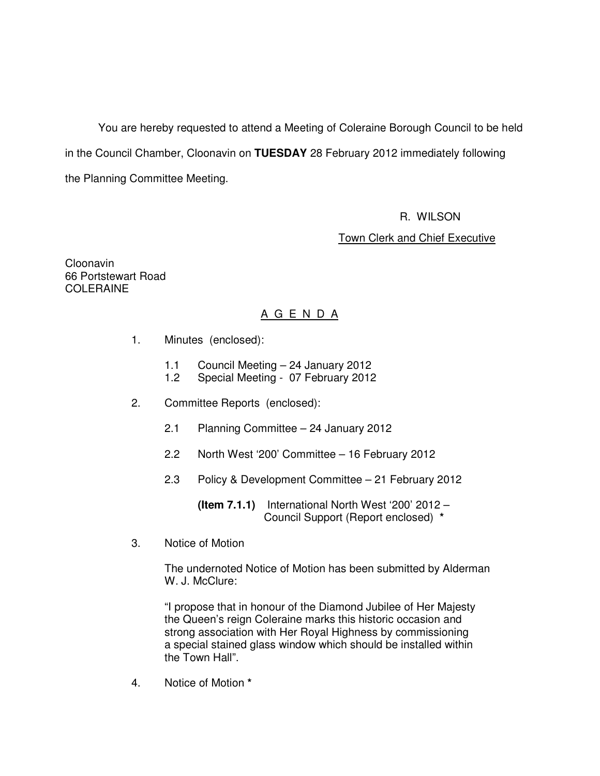You are hereby requested to attend a Meeting of Coleraine Borough Council to be held in the Council Chamber, Cloonavin on **TUESDAY** 28 February 2012 immediately following the Planning Committee Meeting.

R. WILSON

Town Clerk and Chief Executive

Cloonavin 66 Portstewart Road COLERAINE

# A G E N D A

- 1. Minutes (enclosed):
	- 1.1 Council Meeting 24 January 2012<br>1.2 Special Meeting 07 February 2012
	- Special Meeting 07 February 2012
- 2. Committee Reports (enclosed):
	- 2.1 Planning Committee 24 January 2012
	- 2.2 North West '200' Committee 16 February 2012
	- 2.3 Policy & Development Committee 21 February 2012

 **(Item 7.1.1)** International North West '200' 2012 – Council Support (Report enclosed) **\***

3. Notice of Motion

 The undernoted Notice of Motion has been submitted by Alderman W. J. McClure:

 "I propose that in honour of the Diamond Jubilee of Her Majesty the Queen's reign Coleraine marks this historic occasion and strong association with Her Royal Highness by commissioning a special stained glass window which should be installed within the Town Hall".

4. Notice of Motion **\***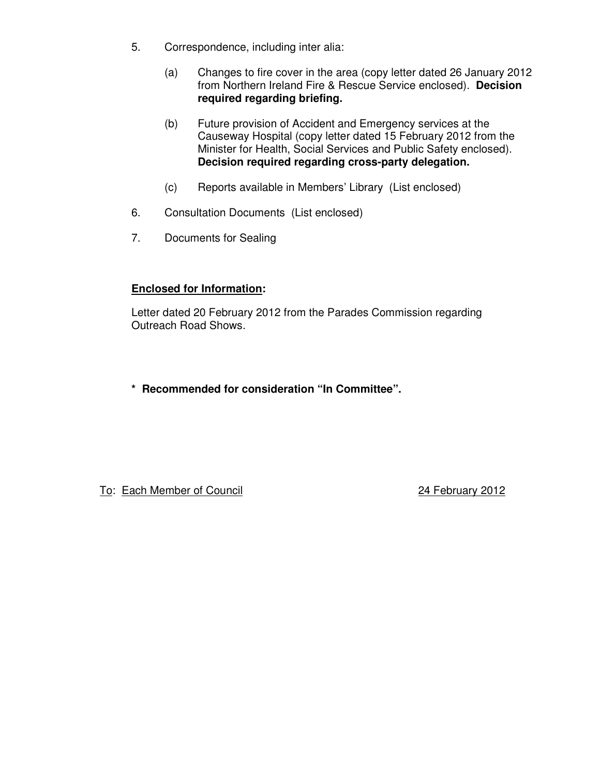- 5. Correspondence, including inter alia:
	- (a) Changes to fire cover in the area (copy letter dated 26 January 2012 from Northern Ireland Fire & Rescue Service enclosed). **Decision required regarding briefing.**
	- (b) Future provision of Accident and Emergency services at the Causeway Hospital (copy letter dated 15 February 2012 from the Minister for Health, Social Services and Public Safety enclosed). **Decision required regarding cross-party delegation.**
	- (c) Reports available in Members' Library (List enclosed)
- 6. Consultation Documents (List enclosed)
- 7. Documents for Sealing

# **Enclosed for Information:**

Letter dated 20 February 2012 from the Parades Commission regarding Outreach Road Shows.

**\* Recommended for consideration "In Committee".**

To: Each Member of Council 24 February 2012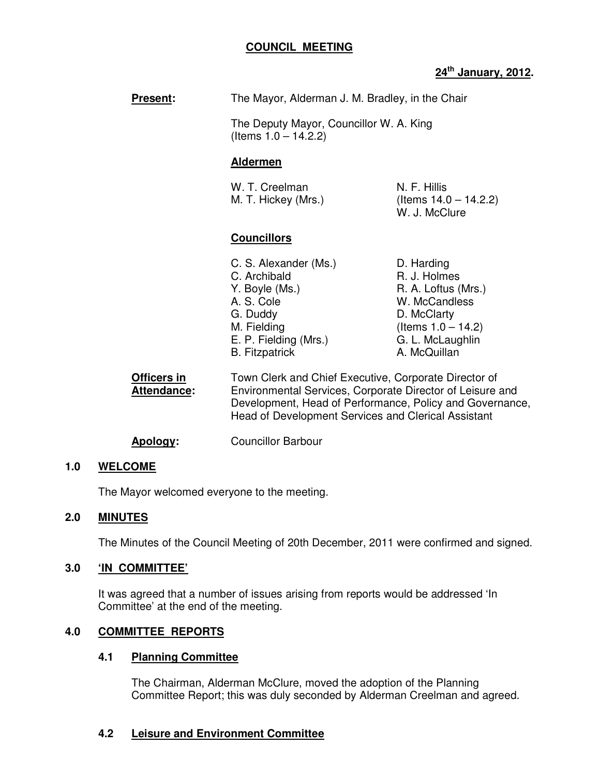# **COUNCIL MEETING**

# **24th January, 2012.**

| <b>Present:</b>                     | The Mayor, Alderman J. M. Bradley, in the Chair                                                                                                    |                                                                                                                                                |
|-------------------------------------|----------------------------------------------------------------------------------------------------------------------------------------------------|------------------------------------------------------------------------------------------------------------------------------------------------|
|                                     | The Deputy Mayor, Councillor W. A. King<br>(Items $1.0 - 14.2.2$ )                                                                                 |                                                                                                                                                |
|                                     | <u>Aldermen</u>                                                                                                                                    |                                                                                                                                                |
|                                     | W. T. Creelman<br>M. T. Hickey (Mrs.)                                                                                                              | N. F. Hillis<br>(Items $14.0 - 14.2.2$ )<br>W. J. McClure                                                                                      |
|                                     | <u>Councillors</u>                                                                                                                                 |                                                                                                                                                |
|                                     | C. S. Alexander (Ms.)<br>C. Archibald<br>Y. Boyle (Ms.)<br>A. S. Cole<br>G. Duddy<br>M. Fielding<br>E. P. Fielding (Mrs.)<br><b>B.</b> Fitzpatrick | D. Harding<br>R. J. Holmes<br>R. A. Loftus (Mrs.)<br>W. McCandless<br>D. McClarty<br>(Items $1.0 - 14.2$ )<br>G. L. McLaughlin<br>A. McQuillan |
| Officers in<br>$\lambda$ iinndonoo: | Town Clerk and Chief Executive, Corporate Director of<br>Environmental Cenvisee, Cernerate Director of Leigure a                                   |                                                                                                                                                |

**Attendance:** Environmental Services, Corporate Director of Leisure and Development, Head of Performance, Policy and Governance, Head of Development Services and Clerical Assistant

**Apology:** Councillor Barbour

# **1.0 WELCOME**

The Mayor welcomed everyone to the meeting.

# **2.0 MINUTES**

The Minutes of the Council Meeting of 20th December, 2011 were confirmed and signed.

# **3.0 'IN COMMITTEE'**

It was agreed that a number of issues arising from reports would be addressed 'In Committee' at the end of the meeting.

# **4.0 COMMITTEE REPORTS**

# **4.1 Planning Committee**

The Chairman, Alderman McClure, moved the adoption of the Planning Committee Report; this was duly seconded by Alderman Creelman and agreed.

# **4.2 Leisure and Environment Committee**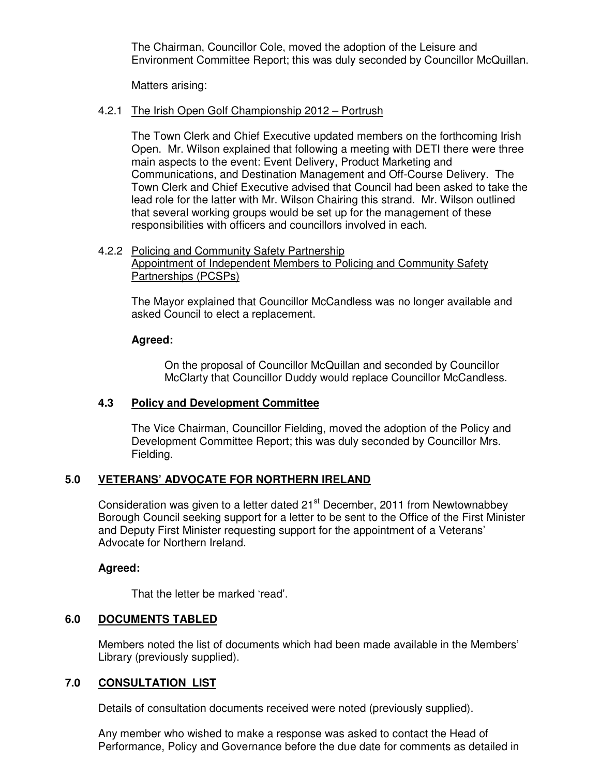The Chairman, Councillor Cole, moved the adoption of the Leisure and Environment Committee Report; this was duly seconded by Councillor McQuillan.

Matters arising:

### 4.2.1 The Irish Open Golf Championship 2012 – Portrush

 The Town Clerk and Chief Executive updated members on the forthcoming Irish Open. Mr. Wilson explained that following a meeting with DETI there were three main aspects to the event: Event Delivery, Product Marketing and Communications, and Destination Management and Off-Course Delivery. The Town Clerk and Chief Executive advised that Council had been asked to take the lead role for the latter with Mr. Wilson Chairing this strand. Mr. Wilson outlined that several working groups would be set up for the management of these responsibilities with officers and councillors involved in each.

#### 4.2.2 Policing and Community Safety Partnership Appointment of Independent Members to Policing and Community Safety Partnerships (PCSPs)

 The Mayor explained that Councillor McCandless was no longer available and asked Council to elect a replacement.

# **Agreed:**

On the proposal of Councillor McQuillan and seconded by Councillor McClarty that Councillor Duddy would replace Councillor McCandless.

# **4.3 Policy and Development Committee**

The Vice Chairman, Councillor Fielding, moved the adoption of the Policy and Development Committee Report; this was duly seconded by Councillor Mrs. Fielding.

# **5.0 VETERANS' ADVOCATE FOR NORTHERN IRELAND**

Consideration was given to a letter dated 21<sup>st</sup> December, 2011 from Newtownabbey Borough Council seeking support for a letter to be sent to the Office of the First Minister and Deputy First Minister requesting support for the appointment of a Veterans' Advocate for Northern Ireland.

# **Agreed:**

That the letter be marked 'read'.

# **6.0 DOCUMENTS TABLED**

 Members noted the list of documents which had been made available in the Members' Library (previously supplied).

# **7.0 CONSULTATION LIST**

Details of consultation documents received were noted (previously supplied).

 Any member who wished to make a response was asked to contact the Head of Performance, Policy and Governance before the due date for comments as detailed in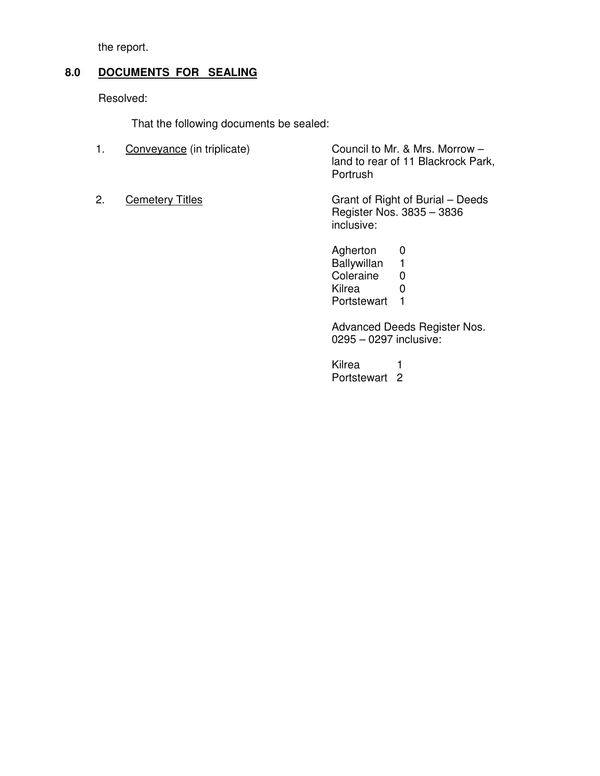the report.

# **8.0 DOCUMENTS FOR SEALING**

Resolved:

That the following documents be sealed:

| $\overline{1}$ . | Conveyance (in triplicate) | Council to Mr. & Mrs. Morrow -<br>land to rear of 11 Blackrock Park,<br>Portrush |
|------------------|----------------------------|----------------------------------------------------------------------------------|
| 2.               | <b>Cemetery Titles</b>     | Grant of Right of Burial – Deeds<br>Register Nos. 3835 - 3836<br>inclusive:      |

Agherton 0<br>Ballywillan 1 Ballywillan 1<br>Coleraine 0 Coleraine 0<br>Kilrea 0 Kilrea Portstewart 1

Advanced Deeds Register Nos. 0295 – 0297 inclusive:

Kilrea 1 Portstewart 2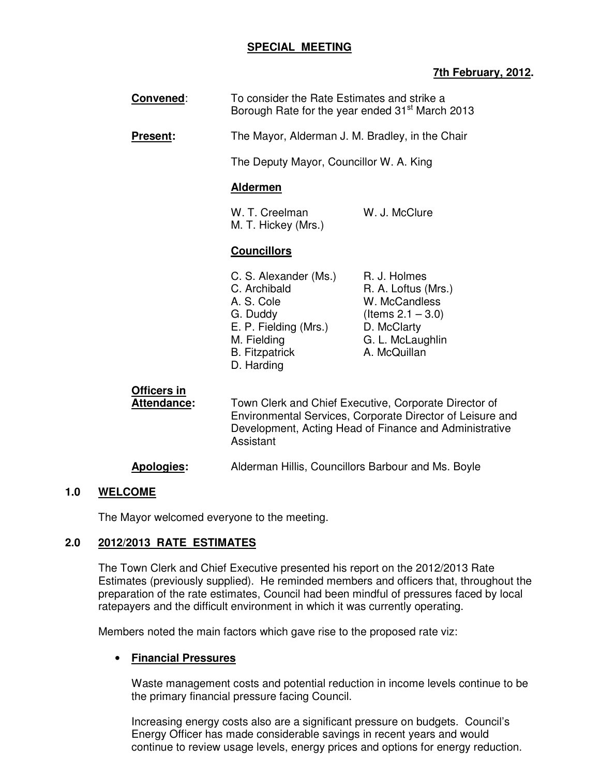# **SPECIAL MEETING**

# **7th February, 2012.**

| Convened:                         | To consider the Rate Estimates and strike a<br>Borough Rate for the year ended 31 <sup>st</sup> March 2013                                     |                                                                                                                                                                              |
|-----------------------------------|------------------------------------------------------------------------------------------------------------------------------------------------|------------------------------------------------------------------------------------------------------------------------------------------------------------------------------|
| <b>Present:</b>                   | The Mayor, Alderman J. M. Bradley, in the Chair                                                                                                |                                                                                                                                                                              |
|                                   | The Deputy Mayor, Councillor W. A. King                                                                                                        |                                                                                                                                                                              |
|                                   | <b>Aldermen</b>                                                                                                                                |                                                                                                                                                                              |
|                                   | W. T. Creelman<br>M. T. Hickey (Mrs.)                                                                                                          | W. J. McClure                                                                                                                                                                |
|                                   | <b>Councillors</b>                                                                                                                             |                                                                                                                                                                              |
|                                   | C. S. Alexander (Ms.)<br>C. Archibald<br>A. S. Cole<br>G. Duddy<br>E. P. Fielding (Mrs.)<br>M. Fielding<br><b>B.</b> Fitzpatrick<br>D. Harding | R. J. Holmes<br>R. A. Loftus (Mrs.)<br>W. McCandless<br>(Items $2.1 - 3.0$ )<br>D. McClarty<br>G. L. McLaughlin<br>A. McQuillan                                              |
| Officers in<br><b>Attendance:</b> | Assistant                                                                                                                                      | Town Clerk and Chief Executive, Corporate Director of<br>Environmental Services, Corporate Director of Leisure and<br>Development, Acting Head of Finance and Administrative |

# **Apologies:** Alderman Hillis, Councillors Barbour and Ms. Boyle

# **1.0 WELCOME**

The Mayor welcomed everyone to the meeting.

# **2.0 2012/2013 RATE ESTIMATES**

The Town Clerk and Chief Executive presented his report on the 2012/2013 Rate Estimates (previously supplied). He reminded members and officers that, throughout the preparation of the rate estimates, Council had been mindful of pressures faced by local ratepayers and the difficult environment in which it was currently operating.

Members noted the main factors which gave rise to the proposed rate viz:

# • **Financial Pressures**

Waste management costs and potential reduction in income levels continue to be the primary financial pressure facing Council.

Increasing energy costs also are a significant pressure on budgets. Council's Energy Officer has made considerable savings in recent years and would continue to review usage levels, energy prices and options for energy reduction.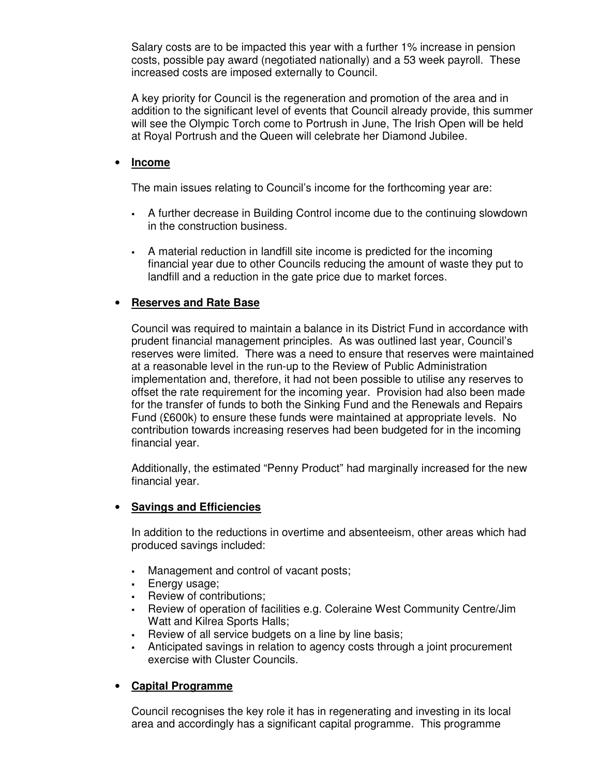Salary costs are to be impacted this year with a further 1% increase in pension costs, possible pay award (negotiated nationally) and a 53 week payroll. These increased costs are imposed externally to Council.

A key priority for Council is the regeneration and promotion of the area and in addition to the significant level of events that Council already provide, this summer will see the Olympic Torch come to Portrush in June, The Irish Open will be held at Royal Portrush and the Queen will celebrate her Diamond Jubilee.

### • **Income**

The main issues relating to Council's income for the forthcoming year are:

- A further decrease in Building Control income due to the continuing slowdown in the construction business.
- A material reduction in landfill site income is predicted for the incoming financial year due to other Councils reducing the amount of waste they put to landfill and a reduction in the gate price due to market forces.

# • **Reserves and Rate Base**

Council was required to maintain a balance in its District Fund in accordance with prudent financial management principles. As was outlined last year, Council's reserves were limited. There was a need to ensure that reserves were maintained at a reasonable level in the run-up to the Review of Public Administration implementation and, therefore, it had not been possible to utilise any reserves to offset the rate requirement for the incoming year. Provision had also been made for the transfer of funds to both the Sinking Fund and the Renewals and Repairs Fund (£600k) to ensure these funds were maintained at appropriate levels. No contribution towards increasing reserves had been budgeted for in the incoming financial year.

Additionally, the estimated "Penny Product" had marginally increased for the new financial year.

# • **Savings and Efficiencies**

In addition to the reductions in overtime and absenteeism, other areas which had produced savings included:

- Management and control of vacant posts;
- **Energy usage;**
- Review of contributions;
- Review of operation of facilities e.g. Coleraine West Community Centre/Jim Watt and Kilrea Sports Halls;
- Review of all service budgets on a line by line basis;
- Anticipated savings in relation to agency costs through a joint procurement exercise with Cluster Councils.

# • **Capital Programme**

Council recognises the key role it has in regenerating and investing in its local area and accordingly has a significant capital programme. This programme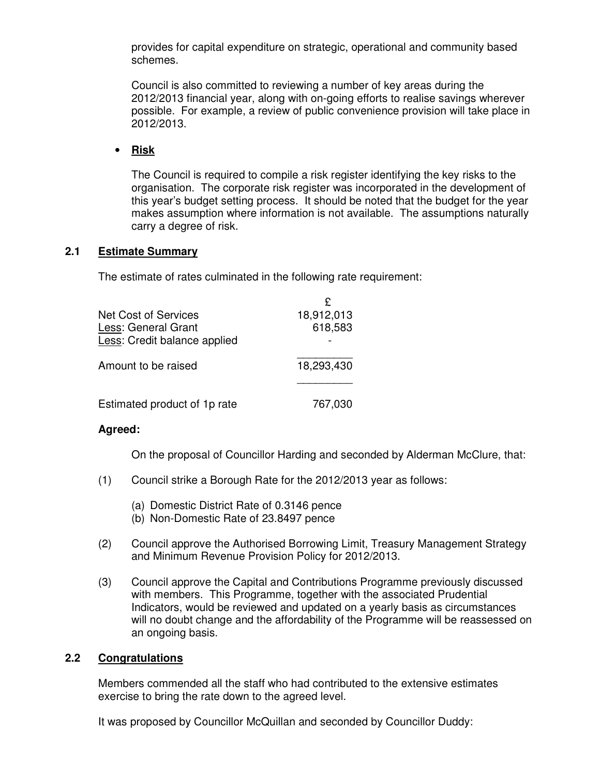provides for capital expenditure on strategic, operational and community based schemes.

Council is also committed to reviewing a number of key areas during the 2012/2013 financial year, along with on-going efforts to realise savings wherever possible. For example, a review of public convenience provision will take place in 2012/2013.

# • **Risk**

The Council is required to compile a risk register identifying the key risks to the organisation. The corporate risk register was incorporated in the development of this year's budget setting process. It should be noted that the budget for the year makes assumption where information is not available. The assumptions naturally carry a degree of risk.

# **2.1 Estimate Summary**

The estimate of rates culminated in the following rate requirement:

| Net Cost of Services<br>Less: General Grant         | 18,912,013<br>618,583 |
|-----------------------------------------------------|-----------------------|
| Less: Credit balance applied<br>Amount to be raised | 18,293,430            |
| Estimated product of 1p rate                        | 767,030               |

# **Agreed:**

On the proposal of Councillor Harding and seconded by Alderman McClure, that:

- (1) Council strike a Borough Rate for the 2012/2013 year as follows:
	- (a) Domestic District Rate of 0.3146 pence
	- (b) Non-Domestic Rate of 23.8497 pence
- (2) Council approve the Authorised Borrowing Limit, Treasury Management Strategy and Minimum Revenue Provision Policy for 2012/2013.
- (3) Council approve the Capital and Contributions Programme previously discussed with members. This Programme, together with the associated Prudential Indicators, would be reviewed and updated on a yearly basis as circumstances will no doubt change and the affordability of the Programme will be reassessed on an ongoing basis.

# **2.2 Congratulations**

Members commended all the staff who had contributed to the extensive estimates exercise to bring the rate down to the agreed level.

It was proposed by Councillor McQuillan and seconded by Councillor Duddy: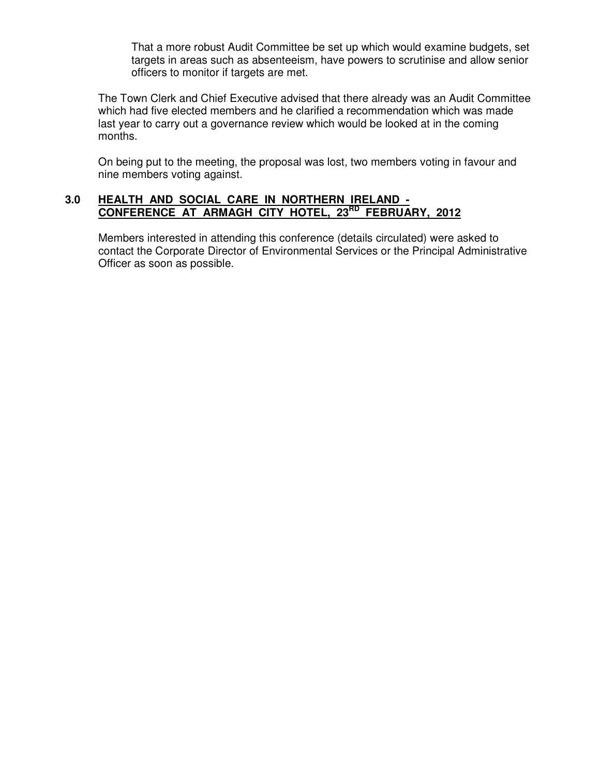That a more robust Audit Committee be set up which would examine budgets, set targets in areas such as absenteeism, have powers to scrutinise and allow senior officers to monitor if targets are met.

The Town Clerk and Chief Executive advised that there already was an Audit Committee which had five elected members and he clarified a recommendation which was made last year to carry out a governance review which would be looked at in the coming months.

On being put to the meeting, the proposal was lost, two members voting in favour and nine members voting against.

# **3.0 HEALTH AND SOCIAL CARE IN NORTHERN IRELAND - CONFERENCE AT ARMAGH CITY HOTEL, 23RD FEBRUARY, 2012**

Members interested in attending this conference (details circulated) were asked to contact the Corporate Director of Environmental Services or the Principal Administrative Officer as soon as possible.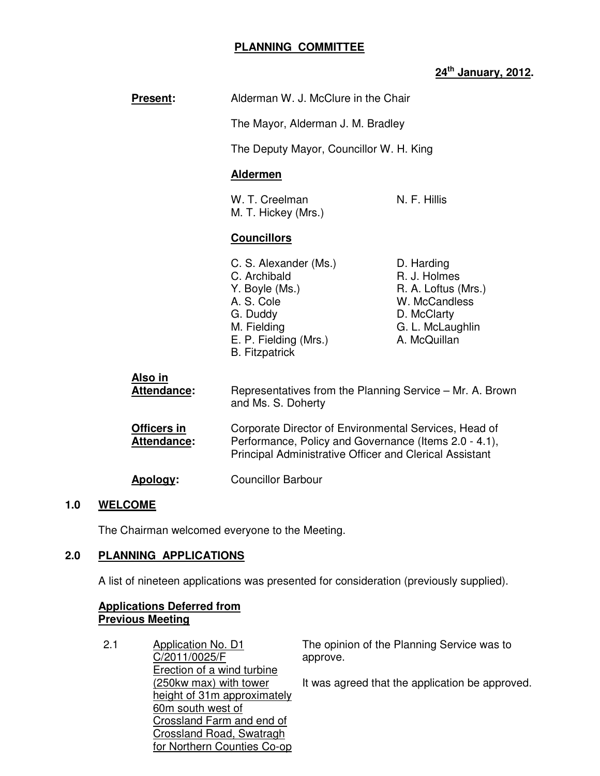# **PLANNING COMMITTEE**

# **24th January, 2012.**

| <b>Present:</b>                   | Alderman W. J. McClure in the Chair                                                                                                                                       |                                                                                                                       |
|-----------------------------------|---------------------------------------------------------------------------------------------------------------------------------------------------------------------------|-----------------------------------------------------------------------------------------------------------------------|
|                                   | The Mayor, Alderman J. M. Bradley                                                                                                                                         |                                                                                                                       |
|                                   | The Deputy Mayor, Councillor W. H. King                                                                                                                                   |                                                                                                                       |
|                                   | <b>Aldermen</b>                                                                                                                                                           |                                                                                                                       |
|                                   | W. T. Creelman<br>M. T. Hickey (Mrs.)                                                                                                                                     | N. F. Hillis                                                                                                          |
|                                   | <b>Councillors</b>                                                                                                                                                        |                                                                                                                       |
|                                   | C. S. Alexander (Ms.)<br>C. Archibald<br>Y. Boyle (Ms.)<br>A. S. Cole<br>G. Duddy<br>M. Fielding<br>E. P. Fielding (Mrs.)<br><b>B.</b> Fitzpatrick                        | D. Harding<br>R. J. Holmes<br>R. A. Loftus (Mrs.)<br>W. McCandless<br>D. McClarty<br>G. L. McLaughlin<br>A. McQuillan |
| Also in<br>Attendance:            | Representatives from the Planning Service – Mr. A. Brown<br>and Ms. S. Doherty                                                                                            |                                                                                                                       |
| Officers in<br><b>Attendance:</b> | Corporate Director of Environmental Services, Head of<br>Performance, Policy and Governance (Items 2.0 - 4.1),<br>Principal Administrative Officer and Clerical Assistant |                                                                                                                       |
| Apology:                          | <b>Councillor Barbour</b>                                                                                                                                                 |                                                                                                                       |

# **1.0 WELCOME**

The Chairman welcomed everyone to the Meeting.

# **2.0 PLANNING APPLICATIONS**

A list of nineteen applications was presented for consideration (previously supplied).

#### **Applications Deferred from Previous Meeting**

| 2.1 | Application No. D1<br>C/2011/0025/F<br>Erection of a wind turbine | The opinion of the Planning Service was to<br>approve. |
|-----|-------------------------------------------------------------------|--------------------------------------------------------|
|     | (250kw max) with tower                                            | It was agreed that the application be approved.        |
|     | height of 31m approximately<br>60m south west of                  |                                                        |
|     | Crossland Farm and end of                                         |                                                        |
|     | <b>Crossland Road, Swatragh</b>                                   |                                                        |
|     | for Northern Counties Co-op                                       |                                                        |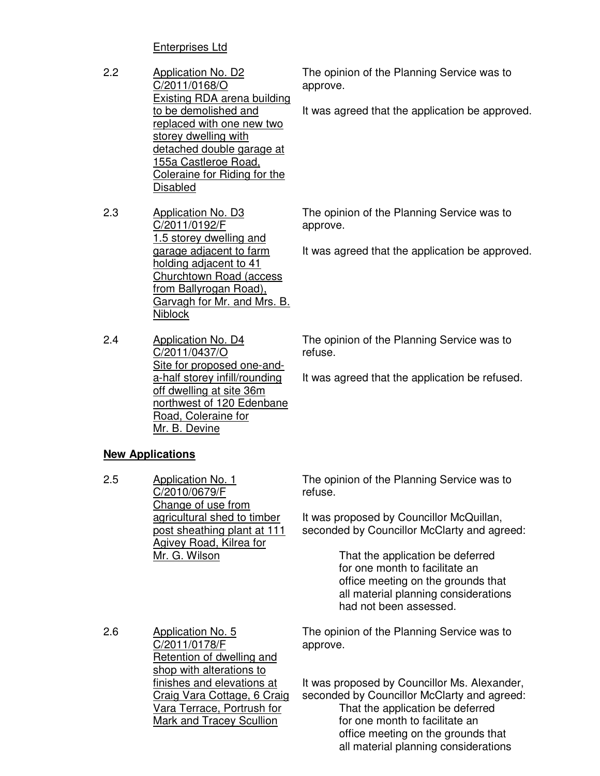# Enterprises Ltd

- 2.2 Application No. D2 C/2011/0168/O Existing RDA arena building to be demolished and replaced with one new two storey dwelling with detached double garage at 155a Castleroe Road, Coleraine for Riding for the Disabled
- 2.3 Application No. D3 C/2011/0192/F 1.5 storey dwelling and garage adjacent to farm holding adjacent to 41 Churchtown Road (access from Ballyrogan Road), Garvagh for Mr. and Mrs. B. **Niblock**
- 2.4 Application No. D4 C/2011/0437/O Site for proposed one-anda-half storey infill/rounding off dwelling at site 36m northwest of 120 Edenbane Road, Coleraine for Mr. B. Devine

# **New Applications**

2.5 Application No. 1 C/2010/0679/F Change of use from agricultural shed to timber post sheathing plant at 111 Agivey Road, Kilrea for Mr. G. Wilson

The opinion of the Planning Service was to approve.

It was agreed that the application be approved.

The opinion of the Planning Service was to approve.

It was agreed that the application be approved.

The opinion of the Planning Service was to refuse.

It was agreed that the application be refused.

The opinion of the Planning Service was to refuse.

It was proposed by Councillor McQuillan, seconded by Councillor McClarty and agreed:

> That the application be deferred for one month to facilitate an office meeting on the grounds that all material planning considerations had not been assessed.

2.6 Application No. 5 C/2011/0178/F Retention of dwelling and shop with alterations to finishes and elevations at Craig Vara Cottage, 6 Craig Vara Terrace, Portrush for Mark and Tracey Scullion

The opinion of the Planning Service was to approve.

It was proposed by Councillor Ms. Alexander, seconded by Councillor McClarty and agreed: That the application be deferred for one month to facilitate an office meeting on the grounds that all material planning considerations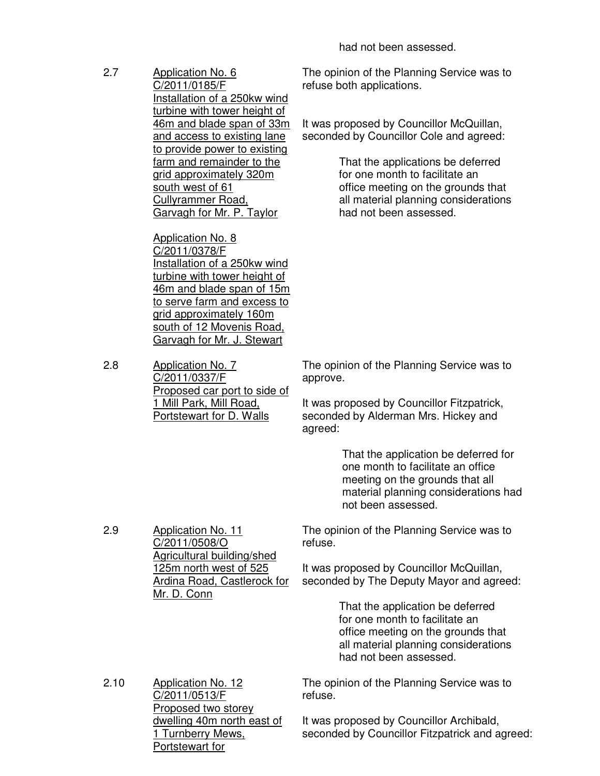had not been assessed.

2.7 Application No. 6 C/2011/0185/F Installation of a 250kw wind turbine with tower height of 46m and blade span of 33m and access to existing lane to provide power to existing farm and remainder to the grid approximately 320m south west of 61 Cullyrammer Road, Garvagh for Mr. P. Taylor

> Application No. 8 C/2011/0378/F Installation of a 250kw wind turbine with tower height of 46m and blade span of 15m to serve farm and excess to grid approximately 160m south of 12 Movenis Road, Garvagh for Mr. J. Stewart

2.8 Application No. 7 C/2011/0337/F Proposed car port to side of 1 Mill Park, Mill Road, Portstewart for D. Walls

2.9 Application No. 11

C/2011/0508/O

Mr. D. Conn

Agricultural building/shed 125m north west of 525 Ardina Road, Castlerock for The opinion of the Planning Service was to refuse both applications.

It was proposed by Councillor McQuillan, seconded by Councillor Cole and agreed:

> That the applications be deferred for one month to facilitate an office meeting on the grounds that all material planning considerations had not been assessed.

The opinion of the Planning Service was to approve.

It was proposed by Councillor Fitzpatrick, seconded by Alderman Mrs. Hickey and agreed:

> That the application be deferred for one month to facilitate an office meeting on the grounds that all material planning considerations had not been assessed.

The opinion of the Planning Service was to refuse.

It was proposed by Councillor McQuillan, seconded by The Deputy Mayor and agreed:

> That the application be deferred for one month to facilitate an office meeting on the grounds that all material planning considerations had not been assessed.

2.10 Application No. 12 C/2011/0513/F Proposed two storey dwelling 40m north east of 1 Turnberry Mews, Portstewart for

The opinion of the Planning Service was to refuse.

It was proposed by Councillor Archibald, seconded by Councillor Fitzpatrick and agreed: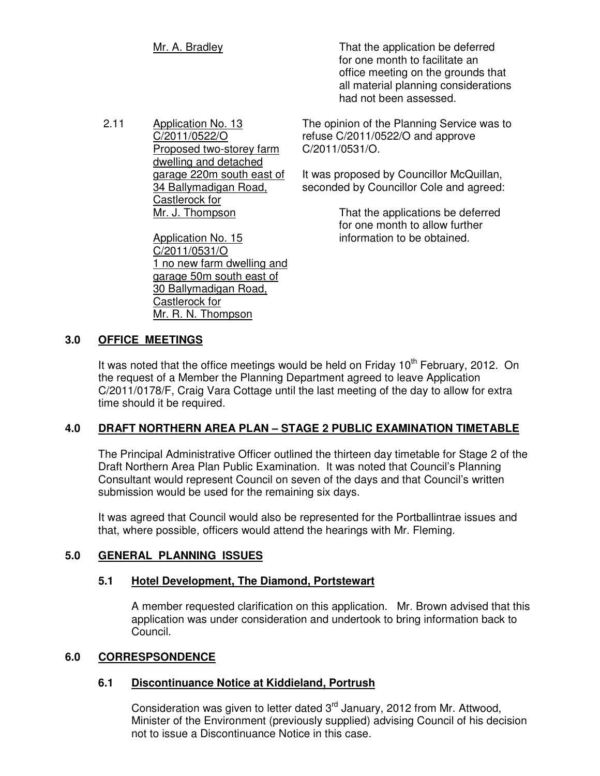Mr. A. Bradley **Mr.** A. Bradley **That the application be deferred**  for one month to facilitate an office meeting on the grounds that all material planning considerations had not been assessed.

2.11 Application No. 13 C/2011/0522/O Proposed two-storey farm dwelling and detached garage 220m south east of 34 Ballymadigan Road, Castlerock for Mr. J. Thompson

> Application No. 15 C/2011/0531/O 1 no new farm dwelling and garage 50m south east of 30 Ballymadigan Road, Castlerock for Mr. R. N. Thompson

The opinion of the Planning Service was to refuse C/2011/0522/O and approve C/2011/0531/O.

It was proposed by Councillor McQuillan, seconded by Councillor Cole and agreed:

> That the applications be deferred for one month to allow further information to be obtained.

# **3.0 OFFICE MEETINGS**

It was noted that the office meetings would be held on Friday  $10<sup>th</sup>$  February, 2012. On the request of a Member the Planning Department agreed to leave Application C/2011/0178/F, Craig Vara Cottage until the last meeting of the day to allow for extra time should it be required.

# **4.0 DRAFT NORTHERN AREA PLAN – STAGE 2 PUBLIC EXAMINATION TIMETABLE**

The Principal Administrative Officer outlined the thirteen day timetable for Stage 2 of the Draft Northern Area Plan Public Examination. It was noted that Council's Planning Consultant would represent Council on seven of the days and that Council's written submission would be used for the remaining six days.

It was agreed that Council would also be represented for the Portballintrae issues and that, where possible, officers would attend the hearings with Mr. Fleming.

# **5.0 GENERAL PLANNING ISSUES**

# **5.1 Hotel Development, The Diamond, Portstewart**

 A member requested clarification on this application. Mr. Brown advised that this application was under consideration and undertook to bring information back to Council.

# **6.0 CORRESPSONDENCE**

# **6.1 Discontinuance Notice at Kiddieland, Portrush**

Consideration was given to letter dated  $3<sup>rd</sup>$  January, 2012 from Mr. Attwood, Minister of the Environment (previously supplied) advising Council of his decision not to issue a Discontinuance Notice in this case.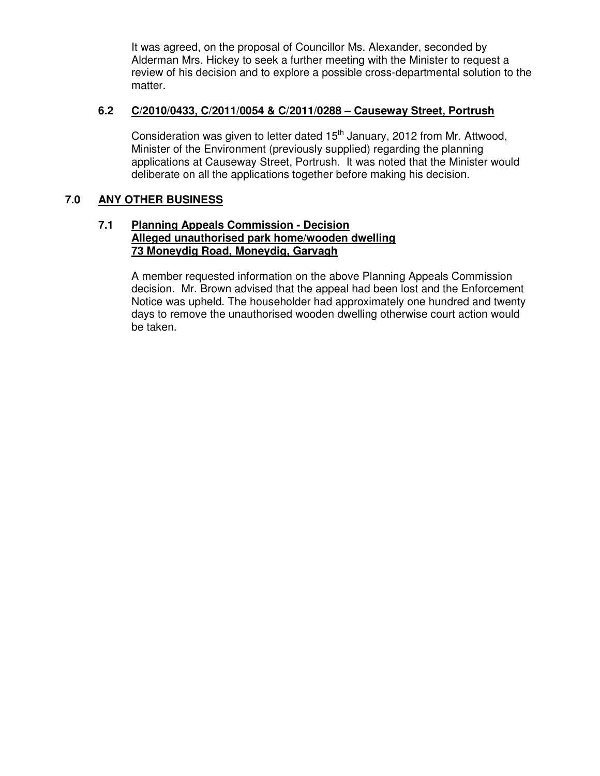It was agreed, on the proposal of Councillor Ms. Alexander, seconded by Alderman Mrs. Hickey to seek a further meeting with the Minister to request a review of his decision and to explore a possible cross-departmental solution to the matter.

# **6.2 C/2010/0433, C/2011/0054 & C/2011/0288 – Causeway Street, Portrush**

Consideration was given to letter dated 15<sup>th</sup> January, 2012 from Mr. Attwood, Minister of the Environment (previously supplied) regarding the planning applications at Causeway Street, Portrush. It was noted that the Minister would deliberate on all the applications together before making his decision.

# **7.0 ANY OTHER BUSINESS**

#### **7.1 Planning Appeals Commission - Decision Alleged unauthorised park home/wooden dwelling 73 Moneydig Road, Moneydig, Garvagh**

 A member requested information on the above Planning Appeals Commission decision. Mr. Brown advised that the appeal had been lost and the Enforcement Notice was upheld. The householder had approximately one hundred and twenty days to remove the unauthorised wooden dwelling otherwise court action would be taken.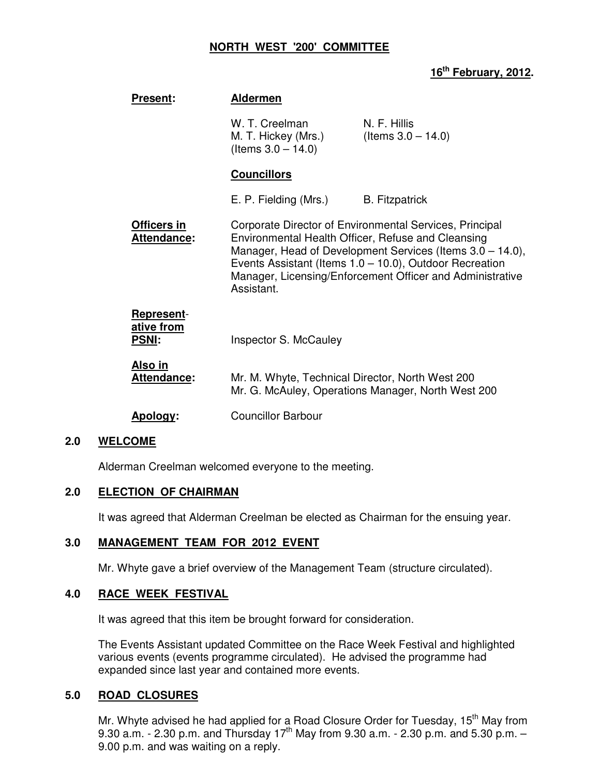#### **NORTH WEST '200' COMMITTEE**

# **16th February, 2012.**

| <b>Present:</b>                                 | <b>Aldermen</b>                                                |                                                                                                                                                                                                                                                                                                       |
|-------------------------------------------------|----------------------------------------------------------------|-------------------------------------------------------------------------------------------------------------------------------------------------------------------------------------------------------------------------------------------------------------------------------------------------------|
|                                                 | W. T. Creelman<br>M. T. Hickey (Mrs.)<br>(Items $3.0 - 14.0$ ) | N. F. Hillis<br>(Items $3.0 - 14.0$ )                                                                                                                                                                                                                                                                 |
|                                                 | <b>Councillors</b>                                             |                                                                                                                                                                                                                                                                                                       |
|                                                 | E. P. Fielding (Mrs.)                                          | <b>B.</b> Fitzpatrick                                                                                                                                                                                                                                                                                 |
| <b>Officers in</b><br>Attendance:               | Assistant.                                                     | Corporate Director of Environmental Services, Principal<br>Environmental Health Officer, Refuse and Cleansing<br>Manager, Head of Development Services (Items 3.0 – 14.0),<br>Events Assistant (Items $1.0 - 10.0$ ), Outdoor Recreation<br>Manager, Licensing/Enforcement Officer and Administrative |
| <b>Represent-</b><br>ative from<br><b>PSNI:</b> | Inspector S. McCauley                                          |                                                                                                                                                                                                                                                                                                       |
| <u>Also in</u><br>Attendance:                   | Mr. M. Whyte, Technical Director, North West 200               | Mr. G. McAuley, Operations Manager, North West 200                                                                                                                                                                                                                                                    |
| Apology:                                        | <b>Councillor Barbour</b>                                      |                                                                                                                                                                                                                                                                                                       |

#### **2.0 WELCOME**

Alderman Creelman welcomed everyone to the meeting.

# **2.0 ELECTION OF CHAIRMAN**

It was agreed that Alderman Creelman be elected as Chairman for the ensuing year.

# **3.0 MANAGEMENT TEAM FOR 2012 EVENT**

Mr. Whyte gave a brief overview of the Management Team (structure circulated).

# **4.0 RACE WEEK FESTIVAL**

It was agreed that this item be brought forward for consideration.

The Events Assistant updated Committee on the Race Week Festival and highlighted various events (events programme circulated). He advised the programme had expanded since last year and contained more events.

#### **5.0 ROAD CLOSURES**

Mr. Whyte advised he had applied for a Road Closure Order for Tuesday, 15<sup>th</sup> May from 9.30 a.m. - 2.30 p.m. and Thursday 17<sup>th</sup> May from 9.30 a.m. - 2.30 p.m. and 5.30 p.m. -9.00 p.m. and was waiting on a reply.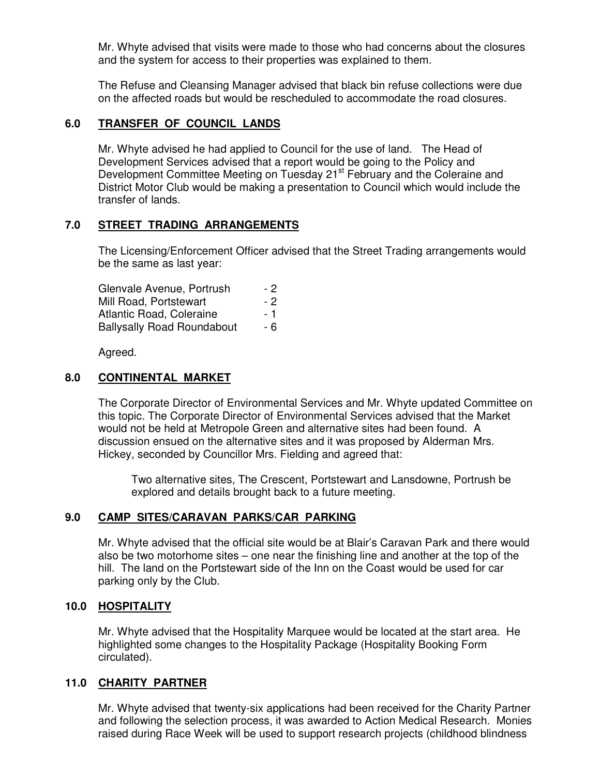Mr. Whyte advised that visits were made to those who had concerns about the closures and the system for access to their properties was explained to them.

The Refuse and Cleansing Manager advised that black bin refuse collections were due on the affected roads but would be rescheduled to accommodate the road closures.

# **6.0 TRANSFER OF COUNCIL LANDS**

Mr. Whyte advised he had applied to Council for the use of land. The Head of Development Services advised that a report would be going to the Policy and Development Committee Meeting on Tuesday 21<sup>st</sup> February and the Coleraine and District Motor Club would be making a presentation to Council which would include the transfer of lands.

#### **7.0 STREET TRADING ARRANGEMENTS**

The Licensing/Enforcement Officer advised that the Street Trading arrangements would be the same as last year:

| Glenvale Avenue, Portrush         | - 2 |
|-----------------------------------|-----|
| Mill Road, Portstewart            | - 2 |
| Atlantic Road, Coleraine          | - 1 |
| <b>Ballysally Road Roundabout</b> | - 6 |

Agreed.

#### **8.0 CONTINENTAL MARKET**

The Corporate Director of Environmental Services and Mr. Whyte updated Committee on this topic. The Corporate Director of Environmental Services advised that the Market would not be held at Metropole Green and alternative sites had been found. A discussion ensued on the alternative sites and it was proposed by Alderman Mrs. Hickey, seconded by Councillor Mrs. Fielding and agreed that:

Two alternative sites, The Crescent, Portstewart and Lansdowne, Portrush be explored and details brought back to a future meeting.

# **9.0 CAMP SITES/CARAVAN PARKS/CAR PARKING**

Mr. Whyte advised that the official site would be at Blair's Caravan Park and there would also be two motorhome sites – one near the finishing line and another at the top of the hill. The land on the Portstewart side of the Inn on the Coast would be used for car parking only by the Club.

#### **10.0 HOSPITALITY**

Mr. Whyte advised that the Hospitality Marquee would be located at the start area. He highlighted some changes to the Hospitality Package (Hospitality Booking Form circulated).

# **11.0 CHARITY PARTNER**

Mr. Whyte advised that twenty-six applications had been received for the Charity Partner and following the selection process, it was awarded to Action Medical Research. Monies raised during Race Week will be used to support research projects (childhood blindness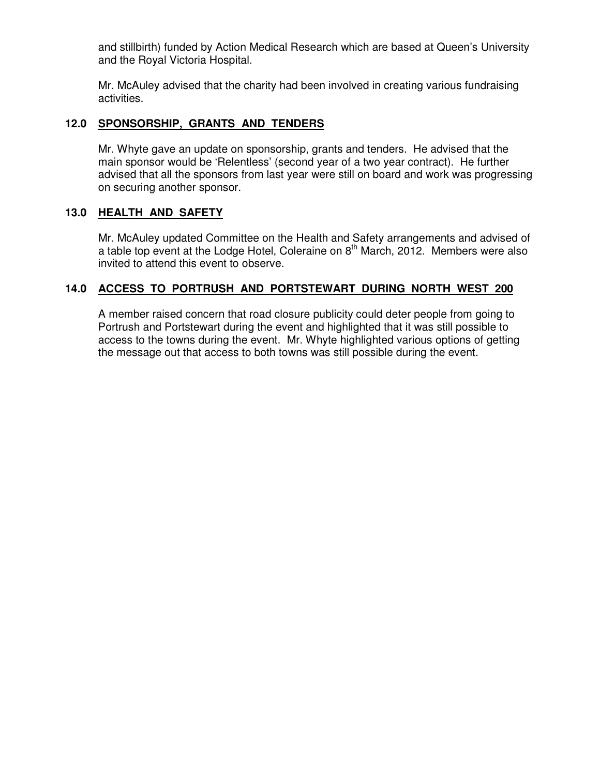and stillbirth) funded by Action Medical Research which are based at Queen's University and the Royal Victoria Hospital.

Mr. McAuley advised that the charity had been involved in creating various fundraising activities.

# **12.0 SPONSORSHIP, GRANTS AND TENDERS**

Mr. Whyte gave an update on sponsorship, grants and tenders. He advised that the main sponsor would be 'Relentless' (second year of a two year contract). He further advised that all the sponsors from last year were still on board and work was progressing on securing another sponsor.

# **13.0 HEALTH AND SAFETY**

Mr. McAuley updated Committee on the Health and Safety arrangements and advised of a table top event at the Lodge Hotel, Coleraine on  $8<sup>th</sup>$  March, 2012. Members were also invited to attend this event to observe.

# **14.0 ACCESS TO PORTRUSH AND PORTSTEWART DURING NORTH WEST 200**

A member raised concern that road closure publicity could deter people from going to Portrush and Portstewart during the event and highlighted that it was still possible to access to the towns during the event. Mr. Whyte highlighted various options of getting the message out that access to both towns was still possible during the event.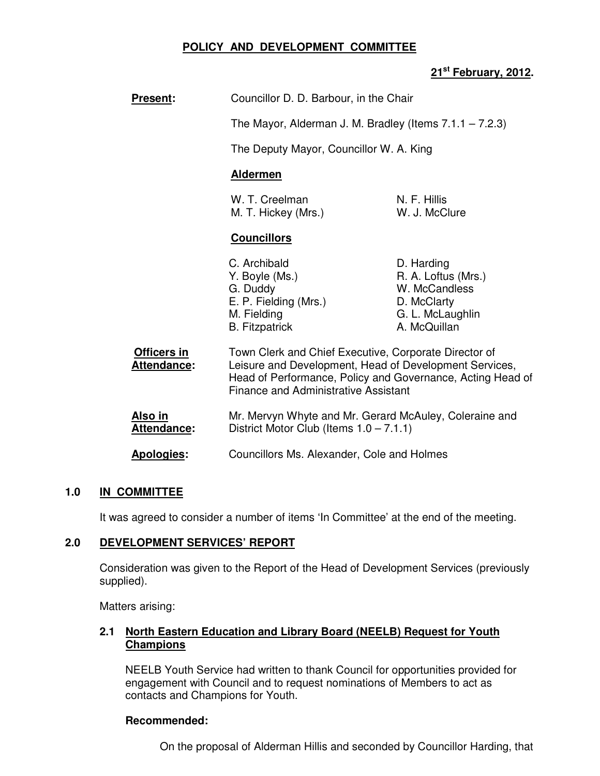# **POLICY AND DEVELOPMENT COMMITTEE**

# **21st February, 2012.**

| <b>Present:</b>                      | Councillor D. D. Barbour, in the Chair                                                                                                                                                                                       |                                                                                                       |  |
|--------------------------------------|------------------------------------------------------------------------------------------------------------------------------------------------------------------------------------------------------------------------------|-------------------------------------------------------------------------------------------------------|--|
|                                      | The Mayor, Alderman J. M. Bradley (Items $7.1.1 - 7.2.3$ )                                                                                                                                                                   |                                                                                                       |  |
|                                      | The Deputy Mayor, Councillor W. A. King                                                                                                                                                                                      |                                                                                                       |  |
|                                      | <b>Aldermen</b>                                                                                                                                                                                                              |                                                                                                       |  |
|                                      | W. T. Creelman<br>M. T. Hickey (Mrs.)                                                                                                                                                                                        | N. F. Hillis<br>W. J. McClure                                                                         |  |
|                                      | <b>Councillors</b>                                                                                                                                                                                                           |                                                                                                       |  |
|                                      | C. Archibald<br>Y. Boyle (Ms.)<br>G. Duddy<br>E. P. Fielding (Mrs.)<br>M. Fielding<br><b>B.</b> Fitzpatrick                                                                                                                  | D. Harding<br>R. A. Loftus (Mrs.)<br>W. McCandless<br>D. McClarty<br>G. L. McLaughlin<br>A. McQuillan |  |
| Officers in<br>Attendance:           | Town Clerk and Chief Executive, Corporate Director of<br>Leisure and Development, Head of Development Services,<br>Head of Performance, Policy and Governance, Acting Head of<br><b>Finance and Administrative Assistant</b> |                                                                                                       |  |
| <u>Also in</u><br><b>Attendance:</b> | Mr. Mervyn Whyte and Mr. Gerard McAuley, Coleraine and<br>District Motor Club (Items $1.0 - 7.1.1$ )                                                                                                                         |                                                                                                       |  |
| <b>Apologies:</b>                    | Councillors Ms. Alexander, Cole and Holmes                                                                                                                                                                                   |                                                                                                       |  |

# **1.0 IN COMMITTEE**

It was agreed to consider a number of items 'In Committee' at the end of the meeting.

# **2.0 DEVELOPMENT SERVICES' REPORT**

 Consideration was given to the Report of the Head of Development Services (previously supplied).

Matters arising:

# **2.1 North Eastern Education and Library Board (NEELB) Request for Youth Champions**

 NEELB Youth Service had written to thank Council for opportunities provided for engagement with Council and to request nominations of Members to act as contacts and Champions for Youth.

# **Recommended:**

On the proposal of Alderman Hillis and seconded by Councillor Harding, that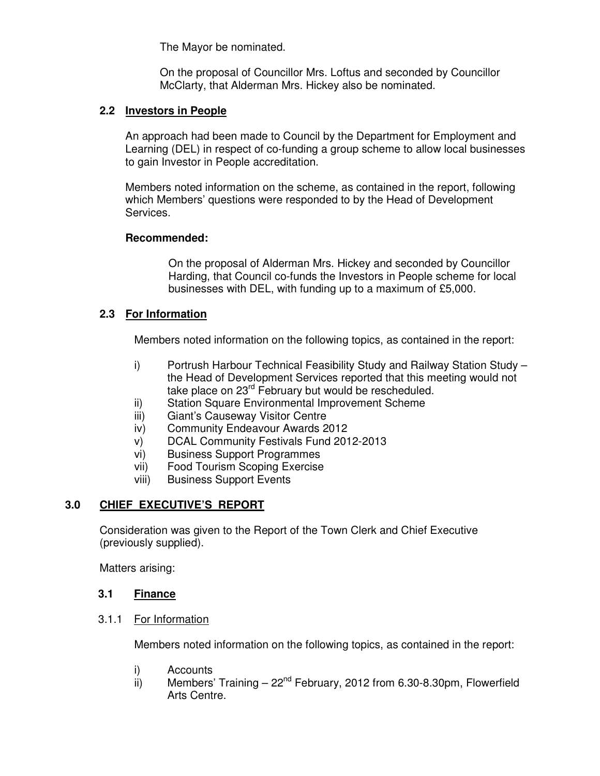The Mayor be nominated.

 On the proposal of Councillor Mrs. Loftus and seconded by Councillor McClarty, that Alderman Mrs. Hickey also be nominated.

# **2.2 Investors in People**

An approach had been made to Council by the Department for Employment and Learning (DEL) in respect of co-funding a group scheme to allow local businesses to gain Investor in People accreditation.

Members noted information on the scheme, as contained in the report, following which Members' questions were responded to by the Head of Development Services.

# **Recommended:**

On the proposal of Alderman Mrs. Hickey and seconded by Councillor Harding, that Council co-funds the Investors in People scheme for local businesses with DEL, with funding up to a maximum of £5,000.

# **2.3 For Information**

Members noted information on the following topics, as contained in the report:

- i) Portrush Harbour Technical Feasibility Study and Railway Station Study the Head of Development Services reported that this meeting would not take place on 23<sup>rd</sup> February but would be rescheduled.
- ii) Station Square Environmental Improvement Scheme
- iii) Giant's Causeway Visitor Centre
- iv) Community Endeavour Awards 2012
- v) DCAL Community Festivals Fund 2012-2013
- vi) Business Support Programmes
- vii) Food Tourism Scoping Exercise
- viii) Business Support Events

# **3.0 CHIEF EXECUTIVE'S REPORT**

 Consideration was given to the Report of the Town Clerk and Chief Executive (previously supplied).

Matters arising:

# **3.1 Finance**

# 3.1.1 For Information

Members noted information on the following topics, as contained in the report:

- i) Accounts
- ii) Members' Training  $-22<sup>nd</sup>$  February, 2012 from 6.30-8.30pm, Flowerfield Arts Centre.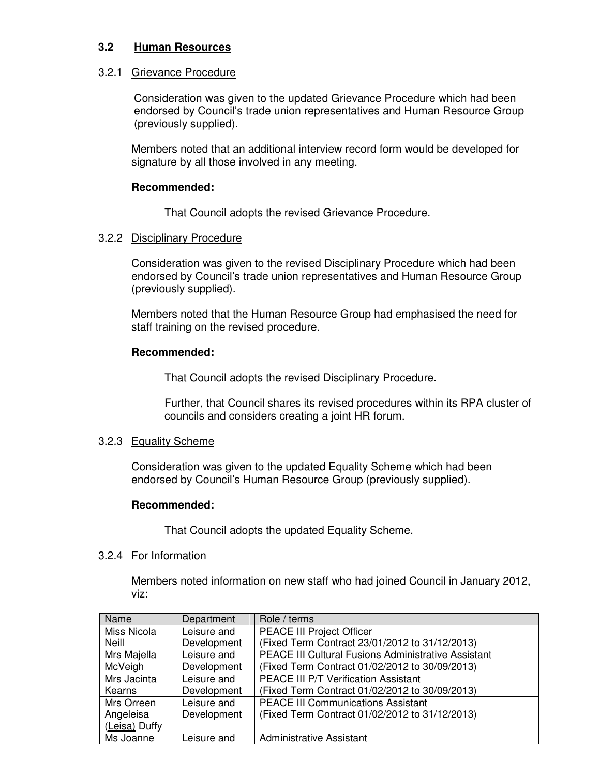# **3.2 Human Resources**

# 3.2.1 Grievance Procedure

Consideration was given to the updated Grievance Procedure which had been endorsed by Council's trade union representatives and Human Resource Group (previously supplied).

Members noted that an additional interview record form would be developed for signature by all those involved in any meeting.

### **Recommended:**

That Council adopts the revised Grievance Procedure.

#### 3.2.2 Disciplinary Procedure

Consideration was given to the revised Disciplinary Procedure which had been endorsed by Council's trade union representatives and Human Resource Group (previously supplied).

Members noted that the Human Resource Group had emphasised the need for staff training on the revised procedure.

#### **Recommended:**

That Council adopts the revised Disciplinary Procedure.

Further, that Council shares its revised procedures within its RPA cluster of councils and considers creating a joint HR forum.

# 3.2.3 Equality Scheme

Consideration was given to the updated Equality Scheme which had been endorsed by Council's Human Resource Group (previously supplied).

# **Recommended:**

That Council adopts the updated Equality Scheme.

# 3.2.4 For Information

Members noted information on new staff who had joined Council in January 2012, viz:

| Name          | Department  | Role / terms                                        |
|---------------|-------------|-----------------------------------------------------|
| Miss Nicola   | Leisure and | <b>PEACE III Project Officer</b>                    |
| <b>Neill</b>  | Development | (Fixed Term Contract 23/01/2012 to 31/12/2013)      |
| Mrs Majella   | Leisure and | PEACE III Cultural Fusions Administrative Assistant |
| McVeigh       | Development | (Fixed Term Contract 01/02/2012 to 30/09/2013)      |
| Mrs Jacinta   | Leisure and | PEACE III P/T Verification Assistant                |
| Kearns        | Development | (Fixed Term Contract 01/02/2012 to 30/09/2013)      |
| Mrs Orreen    | Leisure and | <b>PEACE III Communications Assistant</b>           |
| Angeleisa     | Development | (Fixed Term Contract 01/02/2012 to 31/12/2013)      |
| (Leisa) Duffy |             |                                                     |
| Ms Joanne     | Leisure and | <b>Administrative Assistant</b>                     |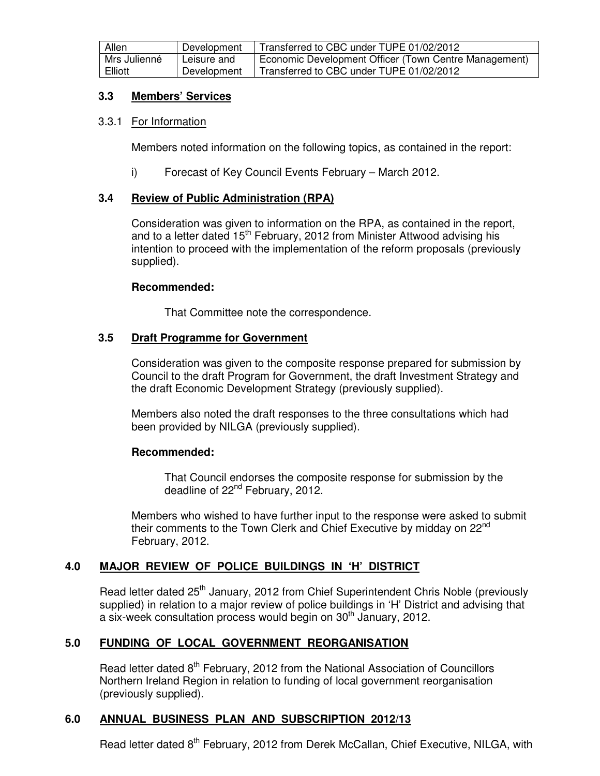| Allen        | Development | Transferred to CBC under TUPE 01/02/2012              |
|--------------|-------------|-------------------------------------------------------|
| Mrs Julienné | Leisure and | Economic Development Officer (Town Centre Management) |
| Elliott      | Development | Transferred to CBC under TUPE 01/02/2012              |

# **3.3 Members' Services**

#### 3.3.1 For Information

Members noted information on the following topics, as contained in the report:

i) Forecast of Key Council Events February – March 2012.

# **3.4 Review of Public Administration (RPA)**

Consideration was given to information on the RPA, as contained in the report, and to a letter dated  $15<sup>th</sup>$  February, 2012 from Minister Attwood advising his intention to proceed with the implementation of the reform proposals (previously supplied).

#### **Recommended:**

That Committee note the correspondence.

#### **3.5 Draft Programme for Government**

Consideration was given to the composite response prepared for submission by Council to the draft Program for Government, the draft Investment Strategy and the draft Economic Development Strategy (previously supplied).

 Members also noted the draft responses to the three consultations which had been provided by NILGA (previously supplied).

# **Recommended:**

That Council endorses the composite response for submission by the deadline of 22<sup>nd</sup> February, 2012.

Members who wished to have further input to the response were asked to submit their comments to the Town Clerk and Chief Executive by midday on 22<sup>nd</sup> February, 2012.

# **4.0 MAJOR REVIEW OF POLICE BUILDINGS IN 'H' DISTRICT**

Read letter dated 25<sup>th</sup> January, 2012 from Chief Superintendent Chris Noble (previously supplied) in relation to a major review of police buildings in 'H' District and advising that a six-week consultation process would begin on  $30<sup>th</sup>$  January, 2012.

# **5.0 FUNDING OF LOCAL GOVERNMENT REORGANISATION**

Read letter dated 8<sup>th</sup> February, 2012 from the National Association of Councillors Northern Ireland Region in relation to funding of local government reorganisation (previously supplied).

# **6.0 ANNUAL BUSINESS PLAN AND SUBSCRIPTION 2012/13**

Read letter dated 8<sup>th</sup> February, 2012 from Derek McCallan, Chief Executive, NILGA, with